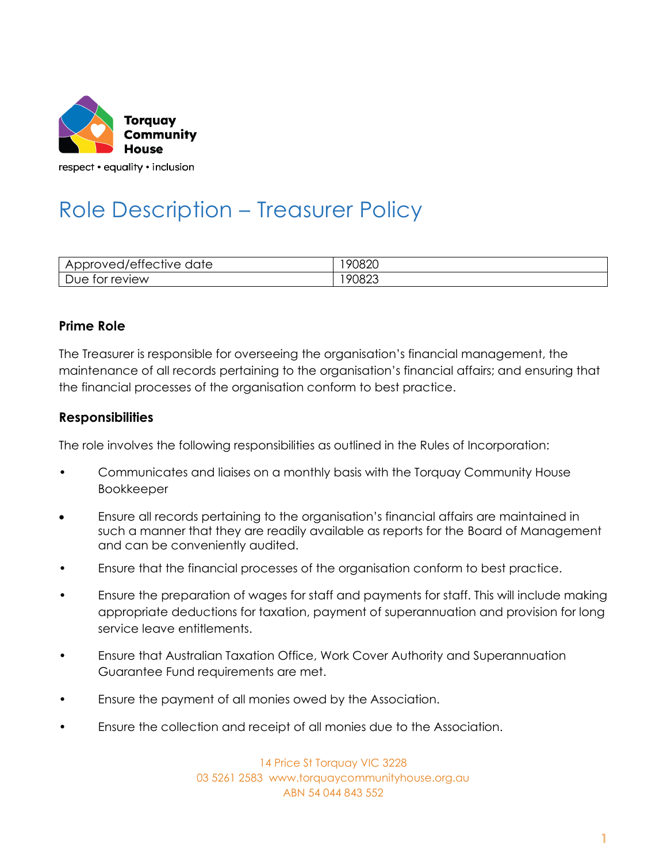

# Role Description – Treasurer Policy

| $\sim$ $\sim$<br>Approved/effective<br>date | 90820 |
|---------------------------------------------|-------|
| tor review<br>Due                           | 90823 |

## **Prime Role**

The Treasurer is responsible for overseeing the organisation's financial management, the maintenance of all records pertaining to the organisation's financial affairs; and ensuring that the financial processes of the organisation conform to best practice.

## **Responsibilities**

The role involves the following responsibilities as outlined in the Rules of Incorporation:

- Communicates and liaises on a monthly basis with the Torquay Community House Bookkeeper
- Ensure all records pertaining to the organisation's financial affairs are maintained in such a manner that they are readily available as reports for the Board of Management and can be conveniently audited.
- Ensure that the financial processes of the organisation conform to best practice.
- Ensure the preparation of wages for staff and payments for staff. This will include making appropriate deductions for taxation, payment of superannuation and provision for long service leave entitlements.
- Ensure that Australian Taxation Office, Work Cover Authority and Superannuation Guarantee Fund requirements are met.
- Ensure the payment of all monies owed by the Association.
- Ensure the collection and receipt of all monies due to the Association.

14 Price St Torquay VIC 3228 03 5261 2583 www.torquaycommunityhouse.org.au ABN 54 044 843 552